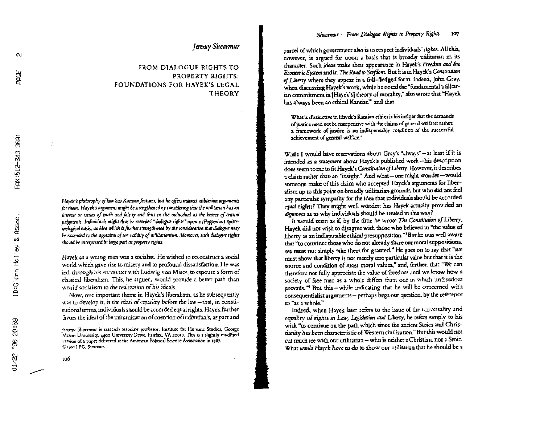# Jeremy Shearmur

# FROM DIALOGUE RIGHTS TO **PROPERTY RIGHTS:** FOUNDATIONS FOR HAYEK'S LEGAL **THEORY**

Hayek's philosophy of law has Kantian features, but he offers indirect utilitarian arguments for them. Hayek's argument might be strengthened by considering that the utilitarian has an interest in issues of truth and folsity and thus in the individual as the bearer of critical judoments. Individuals might thus be accorded "dialogue rights" upon a (Popperian) epistemological basis, an idea which is further strengthened by the consideration that dialogue may be exampled to the approval of the validity of utilitarianism. Moreover, such dialogue rights should be interpreted in large part as property rights.

Hayek as a young man was a socialist. He wished to reconstruct a social world which gave rise to misery and to profound dissatisfaction. He was led, through his encounter with Ludwig von Mises, to espouse a form of classical liberalism. This, he argued, would provide a better path than would socialism to the realization of his ideals.

Now, one important theme in Hayek's liberalism, as he subsequently was to develop it, is the ideal of equality before the law-that, in constitutional terms, individuals should be accorded equal rights. Hayek further favors the ideal of the minimization of coercion of individuals, as part and

106

parcel of which government also is to respect individuals' rights. All this, however, is argued for upon a basis that is broadly utilitarian in its character. Such ideas make their appearance in Havek's Freedom and the Economic System and in The Road to Serfdom. But it is in Hayek's Constitution of Liberty where they appear in a full-fledged form. Indeed, John Gray, when discussing Hayek's work, while he noted the "fundamental utilitarian commitment in [Hayek's] theory of morality," also wrote that "Hayek

has always been an ethical Kantian" and that

What is distinctive in Hayek's Kantian ethics is his maight that the demands of justice need not be competitive with the claims of general welfare: rather, a framework of justice is an indispensable condition of the successful achievement of general welfare.<sup>2</sup>

While I would have reservations about Gray's "always"-at least if it is intended as a statement about Hayek's published work-his description does seem to me to fit Hayek's Constitution of Liberty. However, it describes a claim rather than an "insight" And what-one might wonder-would someone make of this claim who accepted Havek's arguments for liberalism up to this point on broadly utilitarian grounds, but who did not feel any particular sympathy for the idea that individuals should be accorded equal rights? They might well wonder: has Hayek actually provided an argument as to why individuals should be treated in this way?

It would seem as if, by the time he wrote The Constitution of Liberty, Hayek did not wish to disagree with those who believed in "the value of liberty as an indisputable ethical presupposition."<sup>3</sup>But he was well aware that "to convince those who do not already share our moral suppositions, we must not simply take them for granted." He goes on to say that "we must show that liberty is not merely one particular value but that it is the source and condition of most moral values," and, further, that "We can therefore not fully appreciate the value of freedom until we know how a society of free men as a whole differs from one in which unfreedom prevails." But this-while indicating that he will be concerned with consequentialist arguments - perhaps begs our question, by the reference to "as a whole."

Indeed, when Hayek later refers to the issue of the universality and equality of rights in Law, Legislation and Liberty, he refers simply to his wish "to continue on the path which since the ancient Stoics and Christianity has been characteristic of Western civilization." But this would not cut much ice with our utilitatian - who is neither a Christian, nor a Stoic. What would Hayek have to do to show our utilitarian that he should be a

lerctive Shearmur is research associate professor, Institute for Humane Studies, George Mason University, 4400 University Drive, Fairfax, VA 22030. This is a slightly modified version of a paper delivered at the American Political Science Association in 1987. C 1990 J.F.G. Shearmur.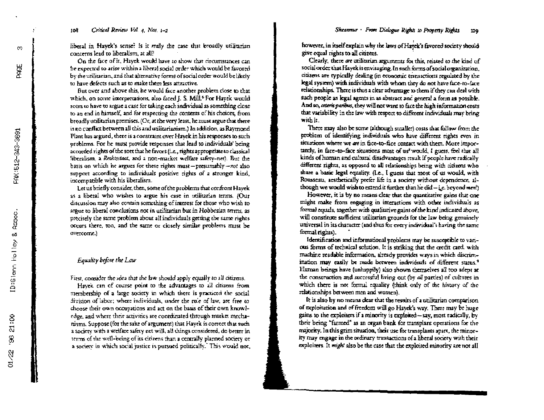Critical Review Vol. 4, Nos. 1-2 108

liberal in Havek's sense? Is it really the case that broadly utilitarian concerns lead to liberalism, at all?

On the face of it, Hayek would have to show that circumstances can be expected to arise within a liberal social order which would be favored by the utilitarian, and that alternative forms of social order would be likely to have defects such as to make them less attractive.

But over and above this, he would face another problem close to that which, on some interpretations, also faced J. S. Mill.<sup>6</sup> For Havek would seem to have to argue a case for taking each individual as something close to an end in himself, and for respecting the contents of his choices, from broadly utilitarian premises. (Or, at the very least, he must argue that there is no conflict between all this and utilitarianism.) In addition, as Raymond Plant has argued, there is a constraint over Havek in his responses to such problems. For he must provide responses that lead to individuals' being accorded rights of the sort that he favors (i.e., rights appropriate to classical liberalism. a Rethissiaat, and a non-market welfare safety-net). But the basis on which he argues for these rights must - presumably -- not also support according to individuals positive rights of a stronger kind. incompatible with his liberalism.

Let us briefly consider, then, some of the problems that confront Hayek as a liberal who wishes to argue his case in utilitatian terms. (Our discussion may also contain something of interest for those who wish to argue to liberal conclusions not in utilitarian but in Hobbesian terms, as precisely the same problem about all individuals getting the same rights occurs there, too, and the same or closely similar problems must be overcome.)

## Equality before the Law

First, consider the idea that the law should apply equally to all citizens. Hayek can of course point to the advantages to all citizens from membership of a large society in which there is practiced the social division of labor; where individuals, under the rule of law, are free to choose their own occupations and act on the basis of their own knowledge, and where their activities are coordinated through market mechanisms. Suppose (for the sake of argument) that Hayek is correct that such a society with a welfare safety net will, all things considered, do better in terms of the well-being of its citizens than a centrally planned society or a society in which social justice is pursued politically.<sup>2</sup> This would not, however, in itself explain why the laws of Havek's favored society should give equal rights to all citizens.

Clearly, there are utilitarian arguments for this, related to the kind of social order that Hayek is envisaging. In such forms of social organization, citizens are typically dealing (in economic transactions regulated by the legal system) with individuals with whom they do not have face-to-face relationships. There is thus a clear advantage to them if they can deal with such people as legal agents in as abstract and general a form as possible. And so, ceteris paribus, they will not want to face the high information costs that variability in the law with respect to different individuals may bring with it.

There may also be some (although smaller) costs that follow from the problem of identifying individuals who have different rights even in situations where we are in face-to-face contact with them. More importantly, in face-to-face situations most of us<sup>e</sup> would. I guess, feel that all kinds of human and cultural disadvantages result if people have radically different rights, as opposed to all relationships being with different who share a basic legal equality. (I.e., I guess that most of us would, with Rousseau, aesthetically prefer life in a society without dependence, although we would wish to extend it further than he did - i.e. beyond men!)

However, it is by no means clear that the quantitative gains that one might make from engaging in interactions with other individuals as formal equals, together with qualitative gains of the kind indicated above, will constitute sufficient utilitarian grounds for the law being genuinely universal in its character (and thus for every individual's having the same formal rights).

Identification and informational problems may be susceptible to various forms of technical solution. It is striking that the credit card, with machine readable information, already provides ways in which discrimination may easily be made between individuals of different status.<sup>9</sup> Human beings have (unhappily) also shown themselves all too adept at the construction and successful living out (by all parties) of cultures in which there is not formal equality (think only of the history of the relationships between men and women).

It is also by no means clear that the results of a utilitarian comparison of exploitation and of freedom will go Hayek's way. There may be huge gains to the exploiters if a minority is exploited - say, most radically, by their being "farmed" as an organ bank for transplant operations for the majority. In this grim situation, their use for transplants apart, the minority may engage in the ordinary transactions of a liberal society with their exploiters. It might also be the case that the exploited minority are not all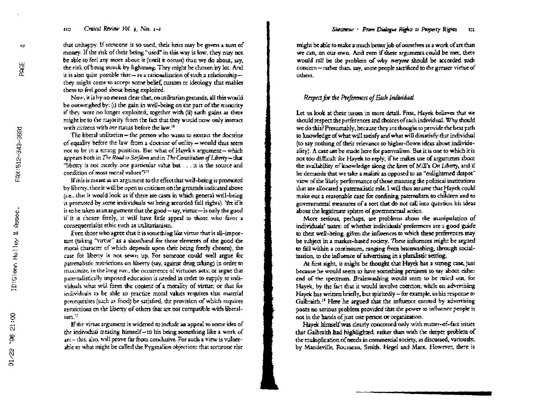#### Cruical Review Vol. 4, Nos. 1-2 **IIO**

that unhappy. If someone is so used, their heirs may be given a sum of money. If the risk of their being "used" in this way is low, they may not be able to feel any more about it (until it occurs) than we do about, say. the risk of being struck by lightning. They might be chosen by lot. And it is also quite possible that  $-$  as a rationalization of such a relationship  $$ they might come to accept some belief, custom or ideology that enables them to feel good about being exploited.

Now, it is hy no means clear that, on utilitarian grounds, all this would be outweighed by: (i) the gain in well-being on the part of the minority if they were no longer exploited; together with (ii) such gains as there might be to the majority from the fact that they would now only interact with citizens with one status before the law.<sup>10</sup>

The liberal utilitatian  $-$  the person who wants to extract the doctrine of equality before the law from a doctrine of utility – would thus seem not to be in a strong position. But what of Hayek's argument-which appears both in The Road to Serfdom and in The Constitution of Liberty - that "liberty is not merely one particular value but . . . it is the source and condition of most moral values"?"

If this is meant as an argument to the effect that well-being is promoted by liberty, then it will be open to entires mon the grounds indicated above (i.e., that it would look as if there are cases in which general well-being is promoted by some individuals not being accorded full rights). Yet if it is to be taken as an argument that the good  $-$  say, virtue  $-$  is only the good if it is chosen freely, it will have little appeal to those who favor a consequentialist ethic such as utilitarianism.

Even those who agree that it is something like virtue that is all-important (taking "virtue" as a shorthand for those elements of the good the moral character of which depends upon their being freely chosen), the case for liberty is not sewn up. For someone could well argue for paternalistic restrictions on liberty (say, against drug taking) in order to maximize, in the long run, the occurrence of virtuous acts; or argue that paternalistically imposed education is needed in order to supply to individuals what will form the content of a morality of virtue; or that for individuals to be able to practice moral values requires that material prerequisites (such as food) be satisfied, the provision of which requires restrictions on the liberty of others that are not compatible with liberalism."

If the virtue argument is widened to include an appeal to some idea of the individual creating himself-to his being something like a work of  $art - this$ , also, will prove far from conclusive. For such a view is vulnerable to what might be called the Pygmalion objection: that someone else might be able to make a much better job of ourselves as a work of art than we can, on our own. And even if these arguments could be met, there would still be the problem of why everyone should be accorded such concern-rather than, say, some people sacrificed to the greater virtue of others.

## Respect for the Preferences of Each Individual

Let us look at these issues in more detail. First, Hayek believes that we should respect the preferences and choices of each individual. Why should we do this? Presumably, because they are thought to provide the best path to knowledge of what will satisfy and what will dissatisfy that individual (to say nothing of their relevance to higher-flown ideas about individuality). A case can be made here for paternalism. But it is one to which it is not too difficult for Hayek to reply, if he makes use of arguments about the availability of knowledge along the lines of Mill's On Liberty, and if he demands that we take a realistic as opposed to an "enlightened despot" view of the likely performance of those manning the political institutions that are allocated a paternalistic role. I will thus assume that Hayek could make out a reasonable case for confining paternalism to children and to governmental measures of a sort that do not call into question his ideas about the legitimate sphere of governmental action.

More serious, perhaps, are problems about the manipulation of individuals' tastes: of whether individuals' preferences are a good guide to their well-being, given the influences to which these preferences may be subject in a market-based society. These influences might be argued to fail within a continuum, ranging from brainwashing, through socialization, to the influence of advertising in a pluralistic setting.

At first sight, it might be thought that Hayek has a strong case, just because he would seem to have something pertinent to say about either end of the spectrum. Brainwashing would seem to be ruled out, for Hayek, by the fact that it would involve coercion; while on advertising Hayek has written briefly, but spiritedly  $-$  for example, in his response to Galbraith.<sup>14</sup> Here he argued that the influence exerted by advertising poses no serious problem provided that the power to influence people is not in the hands of just one person or organization.

Hayek himself was clearly concerned only with matter-of-fact issues that Galbraith had highlighted, rather than with the deeper problem of the multiplication of needs in commercial society, as discussed, variously, by Mandeville, Rousseau, Smith, Hegel and Marx. However, there is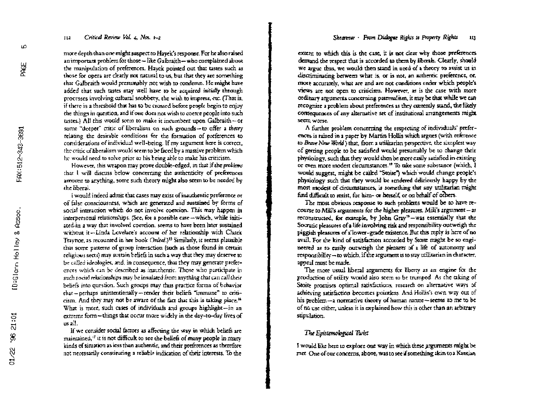more depth than one might suspect to Hayek's response. For he also raised an important problem for those -- like Galbraith -- who complained about the manipulation of preferences. Hayek pointed out that tastes such as those for opera are clearly not natural to us, but that they are something that Galbraith would presumably not wish to condemn. He might have added that such tastes may well have to be acquired initially through processes involving cultural snobbety, the wish to impress, etc. (That is, if there is a threshold that has to be crossed before people begin to enjoy the things in question, and if one does not wish to coerce people into such tastes.) All this would seem to make it incumbent upon Galbraith-or some "deeper" critic of liberalism on such grounds-to offer a theory relating the desirable conditions for the formation of preferences to considerations of individual well-being. If my argument here is correct, the critic of liberalism would seem to be faced by a massive problem which he would need to solve prior to his being able to make his criticism.

However, this weapon may prove double-edged, in that if the problems that I will discuss below concerning the authenticity of preferences amount to anything, some such theory might also seem to be needed by the liberal.

I would indeed admit that cases may exist of inauthentic preference or of false consciousness, which are generated and sustained by forms of social interaction which do not involve coencion. This may happen in interpersonal relationships. (See, for a possible case - which, while initiated in a way that involved coercion, seems to have been later sustained without it-Linda Lovelace's account of her relationship with Chuck Traymor, as recounted in her book Ordeal.)<sup>15</sup> Similarly, it seems plausible that some patterns of group interaction (such as those found in certain religious sects) may sustain beliefs in such a way that they may deserve to be called ideologies, and, in consequence, that they may generate preferences which can be described as inauthentic. Those who participate in such social relationships may be insulated from anything that can call their beliefs into question. Such groups may thus practice forms of behavior  $that$  -perhaps unintentionally - render their beliefs "immune" to criticism. And they may not be aware of the fact that this is taking place.<sup>16</sup> What is more, such cases of individuals and groups highlight-in an extreme form-things that occur more widely in the day-to-day lives of us all.

If we consider social factors as affecting the way in which beliefs are maintained,<sup>17</sup> it is not difficult to see the beliefs of many people in many kinds of situation as less than authentic, and their preferences as therefore not necessarily constituting a reliable indication of their interests. To the extent to which this is the case, it is not clear why those preferences demand the respect that is accorded to them by liberals. Clearly, should we argue thus, we would then stand in need of a theory to assist us in discriminating between what is, or is not, an authentic preference, or, more accurately, what are and are not conditions under which people's views are not open to criticism. However, as is the case with more ordinary arguments concerning paternalism, it may be that while we can recognize a problem about preferences as they currently stand, the likely consequences of any alternative set of institutional arrangements might seem worse.

A further problem concerning the respecting of individuals' preferences is raised in a paper by Martin Hollis which argues (with reference to Brave New World) that, from a utilitarian perspective, the simplest way of getting people to be sausfied would presumably be to change their physiology, such that they would then be more easily satisfied in existing or even more modest circumstances.<sup>18</sup> To take some substance (which, I would suggest, might be called "Stoite") which would change people's physiology such that they would be rendered deliriously happy by the most modest of circumstances, is something that any utilitarian might find difficult to resist, for him- or herself, or on behalf of others.

The most obvious response to such problems would be to have recourse to Mill's arguments for the higher pleasures. Mill's argument  $-zs$ reconstructed, for example, by John Gray<sup>19</sup>-was essentially that the Socratic pleasures of a life involving risk and responsibility outweigh the piggish pleasures of a lower-grade existence. But this reply is here of no avail. For the kind of satisfaction accorded by Stone might be so engineered as to easily outweigh the pleasures of a life of autonomy and  $resposingibility - to which, if the argument is to stay utilitarian in character,$ appeal must be made.

The more usual liberal arguments for liberty as an engine for the production of utility would also seem to be trumped. As the taking of Stoite promises optimal satisfactions, research on alternative ways of achieving satisfaction becomes pointless. And Hollis's own way out of his problem - a normative theory of human nature - seems to me to be of no use either, unless it is explained how this is other than an arbitrary stipulation.

### The Epistemological Twist

I would like here to explore one way in which these arguments might be met. One of our concerns, above, was to see if something akin to a Kantian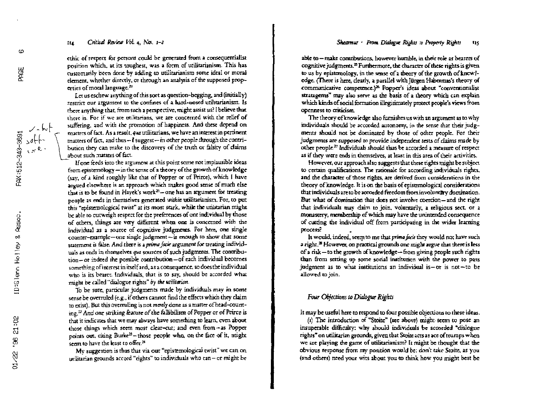#### Critical Review Vol. 4, Nos. 1-2  $\mathbf{u}$

ethic of respect for persons could be generated from a consequentialist position which, at its toughest, was a form of utilitarianism. This has customarily been done by adding to utilitarianism some ideal or moral element, whether directly, or through an analysis of the supposed properties of moral language.<sup>21</sup>

Let us eschew anything of this sort as question-begging, and (initially) restrict our argument to the confines of a hard-nosed utilitarianism. Is there anything that, from such a perspective, might assist us? I believe that there is. For if we are utilitarians, we are concerned with the relief of suffering, and with the promotion of happiness. And these depend on matters of fact. As a result, qua utilitarians, we have an interest in pertinent matters of fact, and thus -- I suggest -- in other people through the contribution they can make to the discovery of the truth or falsity of claims about such matters of fact.

If one feeds into the argument at this point some not implausible ideas from epistemology - in the sense of a theory of the growth of knowledge (say, of a kind roughly like that of Popper or of Prirce), which I have argued elsewhere is an approach which makes good sense of much elsethat is to be found in Hayek's work<sup>21</sup> – one has an argument for treating people as ends in themselves generated within utilitarianism. For, to put this "epistemological twist" at its most stark, while the utilitarian might be able to outweigh respect for the preferences of one individual by those of others, things are very different when one is concerned with the individual as a source of cognitive judgments. For here, one single  $counter-example$  – one single judgment  $-$  is enough to show that some statement is false. And there is a prima facie argument for treating individuals as ends in themselves qua sources of such judgments. The contribution-or indeed the possible contribution-of each individual becomes something of interest in itself and, as a consequence, so does the individual who is its bearer. Individuals, that is to say, should be accorded what might be called "dialogue rights" by the utilitation.

To be sure, particular judgments made by individuals may in some sense be overruled (e.g., if others cannot find the effects which they claim to exist). But this overruling is not merely done as a matter of head-counting.<sup>22</sup> And one striking feature of the fallibilism of Popper or of Peirce is that it indicates that we may always have something to learn, even about those things which seem most clear-cut; and even from  $\rightarrow$  as Popper points out, citing Burke<sup>23</sup>-those people who, on the face of it, might seem to have the least to offer.<sup>24</sup>

My suggestion is thus that via our "epistemological twist" we can on utilitarian grounds accord "rights" to individuals who can-or might be able to - make contributions, however humble, in their role as bearers of cognitive judgments.<sup>25</sup> Furthermore, the character of these rights is given to us by epistemology, in the sense of a theory of the growth of know!edge. (There is here, clearly, a parallel with Jürgen Habermas's theory of communicative competence.)<sup>26</sup> Popper's ideas about "conversionalist stratagems" may also serve as the basis of a theory which can explain which kinds of social formation illegitimately protect people's views from openness to criticism.

The theory of knowledge also furnishes us with an argument as to why individuals should be accorded autonomy, in the sense that their judgments should not be dominated by those of other people. For their judgments are supposed to provide independent tests of claims made by other people<sup>27</sup> Individuals should thus be accorded a measure of respect as if they were ends in themselves, at least in this area of their activities.

However, our approach also suggests that these rights might be subject to certain qualifications. The rationale for according individuals rights, and the character of those rights, are derived from considerations in the theory of knowledge. It is on the basis of epistemological considerations that individuals are to be accorded freedom from involuntary domination. But what of domination that does not involve coercion-and the right that individuals may claim to join, voluntarily, a religious sect, or a monastery, membership of which may have the unintended consequence of cutting the individual off from participating in the wider learning process?

It would, indeed, seem to me that prima facie they would not have such a right.<sup>28</sup> However, on practical grounds one might argue that there is less of a risk-to the growth of knowledge-from giving people such rights than from setting up some social institution with the power to pass judgment as to what institutions an individual is-or is not-to be allowed to join.

## Four Objections to Dialogue Rights

It may be useful here to respond to four possible objections to these ideas.

(1) The introduction of "Stoite" (see above) might seem to pose an insuperable difficulty: why should individuals be accorded "dialogue rights" on utilitarian grounds, given that Stoite acts as ace of trumps when we are playing the game of utilitarianism? It might be thought that the obvious response from my position would be: don't take Stoite, as you (and others) need your wits about you to think how you might best be

 $\circ$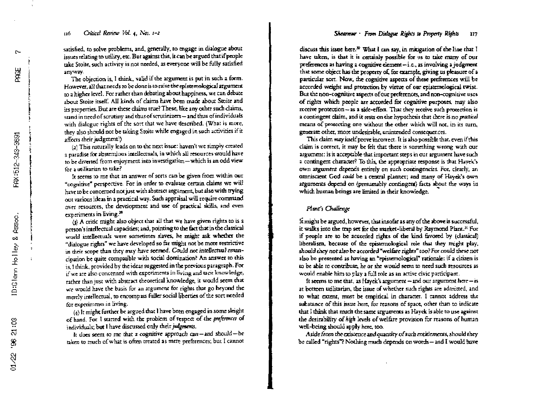Critical Review Vol. 4, Nos. 1-2 нб

satisfied, to solve problems, and, generally, to engage in dialogue about issues relating to utility, etc. But against this, it can be argued that if people take Stoite, such activity is not needed, as everyone will be fully satisfied anyway.

The objection is, I think, valid if the argument is put in such a form. However, all that needs to be done is to raise the epistemological argument to a higher level. For rather than debating about happiness, we can debate about Stoite itself. All kinds of claims have been made about Stoite and its properties. But are these claims true? These, like any other such claims, stand in need of scrutiny and thus of scrutinizers - and thus of individuals with dialogue rights of the sort that we have described. (What is more, they also should not be taking Stoite while engaged in such activities if it affects their judgment!)

(2) This naturally leads on to the next issue: haven't we simply created a paradise for abstemious intellectuals, in which all resources would have to be diverted from enjoyment into investigation — which is an odd view for a utilitarian to take?

It seems to me that an answer of sorts can be given from within our "cognitive" perspective. For in order to evaluate certain claims we will have to be concerned not just with abstract argument, but also with trying out various ideas in a practical way. Such appraisal will require command over resources, the development and use of practical skills, and even experiments in living.<sup>29</sup>

(a) A critic might also object that all that we have given rights to is a person's intellectual capacities; and, pointing to the fact that in the classical world intellectuals were sometimes slaves, he might ask whether the "dialogue rights" we have developed so far might not be more restrictive in their scope than they may have seemed. Could not intellectual emancipation be quite compatible with social domination? An answer to this is. I think, provided by the ideas suggested in the previous paragraph. For if we are also concerned with experiments in living and tack knowledge, rather than just with abstract theoretical knowledge, it would seem that we would have the basis for an argument for rights that go beyond the merely intellectual, to encompass fuller social liberties of the sort needed for experiments in living.

(4) It might further be argued that I have been engaged in some sleight of hand. For I started with the problem of respect of the preferences of individuals; but I have discussed only their judgments.

It does seem to me that a cognitive approach can – and should – be taken to much of what is often treated as mere preferences; but I cannot discuss this issue here.<sup>30</sup> What I can say, in mitigation of the line that I have taken, is that it is certainly possible for us to take many of our preferences as having a cognitive element-i.e., as involving a judgment that some object has the property of, for example, giving us pleasure of a particular sort. Now, the cognitive aspects of these preferences will be accorded weight and protection by virtue of our epistemological twist. But the non-cognitive aspects of our preferences, and non-cognitive uses of rights which people are accorded for cognitive purposes, may also receive protection -- as a side-effect. That they receive such protection is a contingent claim, and it rests on the hypothesis that there is no practical means of protecting one without the other which will not, in its turn, generate other, more undesirable, unintended consequences.

This claim may itself prove incorrect. It is also possible that, even if this claim is correct, it may be felt that there is something wrong with our argument: is it acceptable that important steps in our argument have such a contingent character? To this, the appropriate response is that Hayek's own argument depends entirely on such contingencies. For, clearly, an omniscient God cauld be a central planner; and many of Hayek's own arguments depend on (presumably contingent) facts about the ways in which human beings are limited in their knowledge.

### Plant's Challenge

It might be argued, however, that insofar as any of the above is successful, it walks into the trap set for the market-liberal by Raymond Plant.<sup>31</sup> For if people are to be accorded rights of the kind favored by (classical) liberalism, because of the epistemological role that they might play, should they not also be accorded "welfare rights" too? For could these not also be presented as having an "epistemological" rationale: if a citizen is to be able to contribute, he or she would seem to need such resources as would enable him to play a full role as an active civic participant.

It seems to me that, as Hayek's argument  $-$  and our argument here  $-$  is at bottom unlitarian, the issue of whether such rights are admitted, and to what extent, must be empirical in character. I cannot address the substance of this issue here, for reasons of space, other than to indicate that I think that much the same arguments as Hayek is able to use against the desirability of high levels of welfare provision for reasons of human well-being should apply here, too.

Aside from the existence and quantity of such entitlements, should they be called "rights"? Nothing much depends on words - and I would have

**SPRE** 

 $\sim$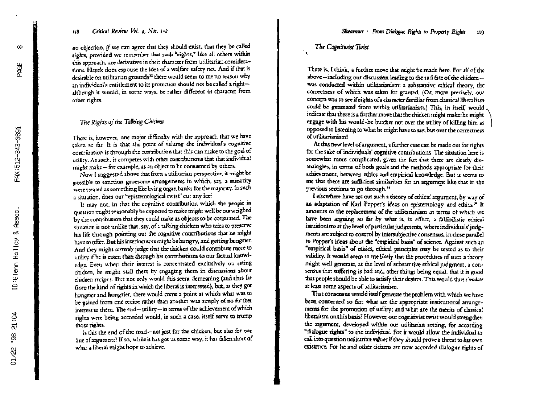no objection, if we can agree that they should exist, that they be called rights, provided we remember that such "rights," like all others within this approach, are derivative in their character from utilitarian considerations. Hayek does espouse the idea of a welfare safety net. And if that is desirable on utilitarian grounds<sup>32</sup> there would seem to me no reason why an individual's entitlement to its protection should not be called a rightalthough it would, in some ways, be rather different in character from other rights.

# The Rights of the Talking Chicken

There is, however, one major difficulty with the approach that we have taken so far. It is that the point of valuing the individual's cognitive contribution is through the contribution that this can make to the goal of utility. As such, it competes with other contributions that that individual might make - for example, as an object to be consumed by others.

Now I suggested above that from a utilitarian perspective, it might be possible to sanction gruesome arrangements in which, say, a minority were treated as something like living organ banks for the majority. In such a situation, does our "epistemological twist" cut any ice?

It may not, in that the cognitive contribution which the people in question might reasonably be expected to make might well be outweighed by the contribution that they could make as objects to be consumed. The situation is not unlike that, say, of a talking chicken who tries to preserve his life through pointing out the cognitive contributions that he might have to offer. But his interlocutors might be hungry, and getting hungrier. And they might correctly judge that the chicken could contribute more to utility if he is eaten than through his contributions to our factual knowledge. Even when their interest is concentrated exclusively on eating chicken, he might stall them by engaging them in discussions about chicken recipes. But not only would this seem demeaning (and thus far from the kind of rights in which the liberal is interested), but, as they got hangrier and hungrier, there would come a point at which what was to be gained from one recipe rather than another was simply of no further interest to them. The end-utility-in terms of the achievement of which rights were being accorded would, in such a case, itself serve to trump those rights.

Is this the end of the road-not just for the chicken, but also for our line of argument? If so, while it has got us some way, it has fallen short of what a liberal might hope to achieve.

The Cognitivist Twist

There is, I think, a further move that might be made here. For all of the above – including our discussion leading to the sad fate of the chicken – was conducted within utilitarianism: a substantive ethical theory, the correctness of which was taken for granted. (Or, more precisely, our concern was to see if rights of a character familiar from classical liberalism could be generated from within utilitarianism.) This, in itself, would, indicate that there is a further move that the chicken might make: he might engage with his would-be butcher not over the utility of killing him as opposed to listening to what he might have to say, but over the correctness of utilitarianism!

At this new level of argument, a further case can be made out for rights for the sake of individuals' cognitive contributions. The situation here is somewhat more complicated, given the fact that there are clearly disanalogies, in terms of both goals and the methods appropriate for their achievement, between ethics and empirical knowledge. But it seems to me that there are sufficient similarities for an argument like that in the previous sections to go through.<sup>32</sup>

I elsewhere have set out such a theory of ethical argument, by way of an adaptation of Karl Popper's ideas on epistemology and ethics.<sup>14</sup> It amounts to the replacement of the utilitarianism in terms of which we have been arguing so far by what is, in effect, a fallibilistic ethical intuitionism at the level of particular judgments, where individuals' judgments are subject to control by intersubjective consensus, in close parallel to Popper's ideas about the "empirical basis" of science. Against such an "empirical basis" of ethics, ethical principles may be tested as to their validity. It would seem to me likely that the procedures of such a theory might well generate, at the level of substantive ethical judgment, a consensus that suffering is bad and, other things being equal, that it is good that people should be able to satisfy their desires. This would thus simulate at least some aspects of utilitarianism.

That consensus would itself generate the problem with which we have been concerned so far: what are the appropriate institutional arrangements for the promotion of utility; and what are the merits of classical liberalism on this basis? However, our cognitivist twist would strengthen the argument, developed within our utilitarian setting, for according "dialogue rights" to the individual. For it would allow the individual to call into question utilitarian values if they should prove a threat to his own existence. For he and other citizens are now accorded dialogue rights of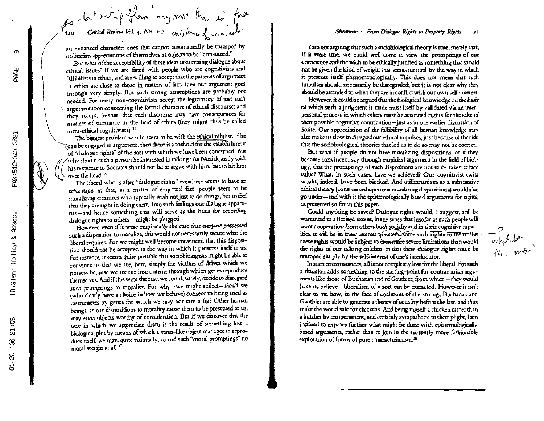an enhanced character: ones that cannot automatically be trumped by utilitarian appreciations of themselves as objects to be "consumed."

yes - lost votapoblem "my mor than is five

But what of the acceptability of these ideas concerning dialogue about ethical issues? If we are faced with people who are cognitivists and fallibilists in ethics, and are willing to accept that the patterns of argument in ethics are close to those in matters of fact, then our argument goes through very simply. But such strong assumptions are probably not needed. For many non-cognitivists accept the legitimacy of just such argumentation concerning the formal character of ethical discourse; and they accept, further, that such discourse may have consequences for matters of substance in the field of ethics (they might thus be called meta-ethical cognitivists).<sup>55</sup>

The biggest problem would seem to be with the ethical nihilist. If he (can be engaged in argument, then there is a toehold for the establishment of "dialogue rights" of the sort with which we have been concerned. But why should such a person be interested in talking? As Nozick justly said, his response to Socrates should not be to argue with him, but to hit him over the head.<sup>35</sup>

The liberal who is after "dialogue rights" even here seems to have an advantage, in that, as a matter of empirical fact, people seem to be moralizing creatures who typically wish not just to do things, but to feel that they are right in doing them. Into such feelings our dialogue apparatus-and hence something that will serve as the basis for according dialogue rights to others - might be plugged.

However, even if it were empirically the case that everyone possessed such a disposition to moralize, this would not necessarily secure what the liberal requires. For we might well become convinced that this disposition should not be accepted in the way in which it presents itself to us. For instance, it seems quite possible that sociobiologists might be able to convince us that we are, here, simply the victims of drives which we possess because we are the instruments through which genes reproduce themselves. And if this were the case, we could, surely, decide to disregard such promptings to morality. For why-we might reflect-should we (who clearly have a choice in how we behave) consent to being used as instruments by genes for which we may not care a fig? Other human beings, as our dispositions to morality cause them to be presented to us, may seem objects worthy of consideration. But if we discover that the way in which we appreciate them is the result of something like a biological plot by means of which a virus-like object manages to reproduce itself, we may, quite rationally, accord such "moral promptings" no moral weight at all.<sup>37</sup>

I am not arguing that such a sociobiological theory is true; merely that, if it were true, we could well come to view the promptings of our conscience and the wish to be ethically justified as something that should not be given the kind of weight that seems merited by the way in which it presents itself phenomenologically. This does not mean that such impulses should necessarily be disregarded; but it is not clear why they should be attended to when they are in conflict with our own self-interest.

However, it could be argued that the biological knowledge on the basis of which such a judgment is made must itself by validated via an interpersonal process in which others must be accorded rights for the sake of their possible cognitive contribution-just as in our earlier discussion of Stoite. Our appreciation of the fallibility of all human knowledge may also make us slow to disregard our ethical impulses, just because of the risk that the sociobiological theories that led us to do so may not be correct.

But what if people do not have moralizing dispositions, or if they become convinced, say through empirical argument in the field of biology, that the promptings of such dispositions are not to be taken at face value? What, in such cases, have we achieved? Our cognitivist twist would, indeed, have been blocked. And utilitarianism as a substantive ethical theory (constructed upon our moralizing dispositions) would also go under-and with it the epistemologically based arguments for rights, as presented so far in this paper.

Could anything be saved? Dialogue rights would, I suggest, still be warranted to a limited extent, in the sense that insofar as such people will want cooperation from others both socially and in their cognitive capacities, it will be in their interest to extend some such rights to them. But these rights would be subject to even more severe limitations than would the rights of our talking chicken, in that these dialogue rights could be trumped simply by the self-interest of one's interlocutor.

In such circumstances, all is not completely lost for the liberal. For such a situation adds something to the starting-point for contractarian arguments like those of Buchanan and of Gauthier, from which - they would have us believe-liberalism of a sort can be extracted. However it isn't clear to me how, in the face of coalitions of the strong, Buchanar, and Gauthier are able to generate a theory of equality before the law, and thus make the world safe for chickens. And being myself a chicken rather than a butcher by temperament, and certainly sympathetic to their plight, I am inclined to explore further what might be done with epistemologically based arguments, rather than to join in the currently more fashionable exploration of forms of pure contractarianism.<sup>38</sup>

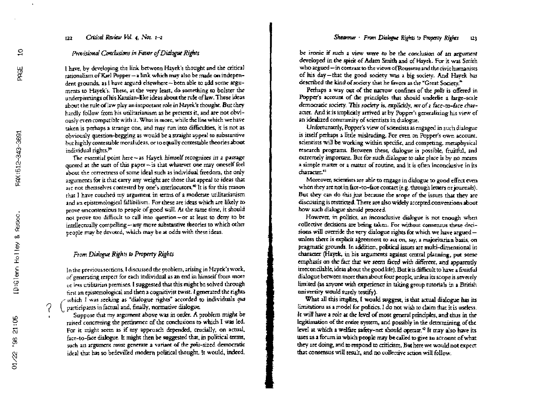Critical Review Vol. 4, Nos.  $t-2$  $122$ 

### Provisional Conclusions in Favor of Dialogue Rights

I have, by developing the link between Hayek's thought and the critical rationalism of Karl Popper - a link which may also be made on independent grounds, as I have argued elsewhere-been able to add some arguments to Havek's. These, at the very least, do something to bolster the underpinnings of his Kantian-like ideas about the rule of law. These ideas about the rule of law play an important role in Hayek's thought. But they hardly follow from his utilitarianism as he presents it, and are not obviously even compatible with it. What is more, while the line which we have taken is perhaps a strange one, and may run into difficulties, it is not as obviously question-begging as would be a straight appeal to substantive but highly contestable moral ideas, or to equally contestable theories about individual rights.<sup>39</sup>

The essential point here - as Hayek himself recognizes in a passage quoted at the start of this paper- is that whatever one may oneself feel about the correctness of some ideal such as individual freedom, the only arguments for it that carry any weight are those that appeal to ideas that are not themselves contested by one's interlocutors.<sup>40</sup> It is for this reason that I have couched my argument in terms of a moderate utilitarianism and an epistemological fallibilism. For these are ideas which are likely to prove uncontentious to people of good will. At the same time, it should not prove too difficult to call into question-or at least to deriy to be intellectually compelling – any more substantive theories to which other people may be devoted, which may be at odds with these ideas.

# From Dialogue Rights to Property Rights

In the previous sections, I discussed the problem, arising in Hayek's work, of generating respect for each individual as an end in himself from more or less utilitarian premises. I suggested that this might be solved through first an epistemological and then a cognitivist twist. I generated the rights which I was seeking as "dialogue rights" accorded to individuals quaparticipants in factual and, finally, normative dialogue.

Suppose that my argument above was in order. A problem might be raised concerning the pertinence of the conclusions to which I was led. For it might seem as if my approach depended, crucially, on actual, face-to-face dialogue. It might then be suggested that, in political terms, such an argument must generate a variant of the polis-sized democratic ideal that has so bedevilled modern political thought. It would, indeed,

be ironic if such a view were to be the conclusion of an argument developed in the spirit of Adam Smith and of Hayek. For it was Smith who argued - in contrast to the views of Rousseau and the civic humanists of his day-that the good society was a big society. And Hayek has described the kind of society that he favors as the "Great Society."

Perhaps a way out of the narrow confines of the polis is offered in Popper's account of the principles that should underlie a large-scale democratic society. This society is, explicitly, not of a face-to-face character. And it is implicitly arrived at by Popper's generalizing his view of an idealized community of scientists in dialogue.

Unfortunately, Popper's view of scientists as engaged in such dialogue is itself perhaps a little misleading. For even on Popper's own account. scientists will be working within specific, and competing, metaphysical research programs. Between these, dialogue is possible, fruitful, and extremely important. But for such dialogue to take place is by no means a simple matter or a matter of routine, and it is often inconclusive in its character.<sup>41</sup>

Moreover, scientists are able to engage in dialogue to good effect even when they are not in face-to-face contact (e.g. through letters or journals). But they can do this just because the scope of the issues that they are discussing is restricted. There are also widely accepted conventions about how such dialogue should proceed.

However, in politics, an inconclusive dialogue is not enough when collective decisions are being taken. For without consensus these decisions will override the very dialogue rights for which we have argued unless there is explicit agreement to act on, say, a majoritarian basis, on pragmatic grounds. In addition, political issues are multi-dimensional in character (Hayek, in his arguments against central planning, put some emphasis on the fact that we seem faced with different, and apparently irreconcilable, ideas about the good life). But it is difficult to have a fruitful dialogue between more than about four people, unless its scope is severely limited (as anyone with experience in taking group tutorials in a British university would surely testify).

What all this implies, I would suggest, is that actual dialogue has its limitations as a model for politics. I do not wish to claim that it is useless. It will have a role at the level of most general principles, and thus in the legitimation of the entire system, and possibly in the determining of the level at which a welfare safety-net should operate.<sup>42</sup> It may also have its uses as a forum in which people may be called to give an account of what they are doing, and to respond to criticism. But here we would not expect that consensus will result, and no collective action will follow.

 $\mathbf{S}$ **PAGE** 

?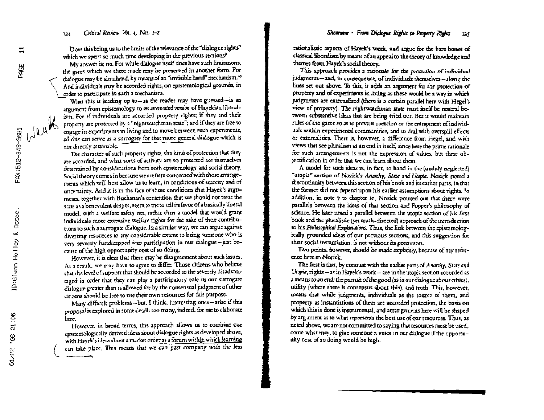#### Critical Review Vol. 4, Nos. 1-2 124

Does this bring us to the limits of the relevance of the "dialogue rights" which we spent so much time developing in the previous sections?

My answer is; no. For while dialogue itself does have such limitations, the gains which we there made may be preserved in another form. For dialogue may be simulated, by means of an "invisible hand" mechanism.<sup>43</sup> And individuals may be accorded rights, on epistemological grounds, in order to participate in such a mechanism.

What this is leading up to -- as the reader may have guessed-is an argument from epistemology to an attenuated version of Hayekian liberalism. For if individuals are accorded property rights; if they and their property are protected by a "nightwatchman state"; and if they are free to engage in experiments in living and to move between such experiments, all this can serve as a surrogate for that more general dialogue which is not directly attainable.

The character of such property rights, the kind of protection that they are accorded, and what sorts of activity are so protected are themselves determined by considerations from both epistemology and social theory. Social theory comes in because we are here concerned with those arrangements which will best allow us to learn, in conditions of scarcity and of uncertainty. And it is in the face of these conditions that Hayek's arguments, together with Buchanan's contention that we should not treat the state as a benevolent despot, seem to me to tell in favor of a basically liberal model, with a welfare safety net, rather than a model that would grain individuals more extensive welfare rights for the sake of their contributions to such a surrogate dialogue. In a similar way, we can argue against diverting resources to any considerable extent to bring someone who is very severely handicapped into participation in our dialogue-just because of the high opportunity cost of so doing.

However, it is clear that there may be disagreement about such issues. As a result, we may have to agree to differ. Those citizens who believe that the level of support that should be accorded to the severely disadvantaged in order that they can play a participatory role in our surrogate dialogue greater than is allowed for by the consensual judgment of other citizens should be free to use their own resources for this purpose.

Many difficult problems-but, I think, interesting ones-arise if this proposal is explored in some detail: too many, indeed, for me to elaborate here.

However, in broad terms, this approach allows us to combine our epistemologically derived ideas about dialogue rights as developed above, with Hayek's ideas about a market order as a forum within which learning can take place. This means that we can part company with the less rationalistic aspects of Hayek's work, and argue for the bare bones of classical liberalism by means of an appeal to the theory of knowledge and themes from Hayek's social theory.

This approach provides a rationale for the protection of individual judgments-and, in consequence, of individuals themselves-along the lines set out above. To this, it adds an argument for the protection of property and of experiments in living as these would be a way in which judgments are externalized (there is a certain parallel here with Hegel's view of property). The nightwatchman state must itself be neutral between substantive ideas that are being tried out. But it would maintain rules of the game so as to prevent coercion or the entrapment of individuals within experimental communities, and to deal with overspill effects or externalities. There is, however, a difference from Hegel, and with views that see pluralism as an end in itself, since here the prime rationale for such arrangements is not the expression of values, but their objectification in order that we can learn about them.

A model for such ideas is, in fact, to hand in the (unduly neglected) "utopia" section of Nozick's Ananhy, State and Utopia. Nozick noted a discontinuity between this section of his book and its earlier parts, in that the former did not depend upon his earlier assumptions about rights. In addition, in note 7 to chapter to. Nozick pointed out that there were parallels between the ideas of that section and Popper's philosophy of science. He later noted a parallel between the utopia section of his first book and the pluralistic (yet truth-directed) approach of the introduction to his Philosophical Explanations. Thus, the link between the epistemologically grounded ideas of our previous sections, and this suggestion for their social instantiation, is not without its precursors.

Two points, however, should be made explicitly, because of my reference here to Nozick.

The first is that, by contrast with the earlier parts of Anarthy, State and Utopia, rights  $-$  as in Hayek's work  $-$  are in the utopia section accorded as a means to an end: the pursuit of the good (as in our dialogue about ethics), utility (where there is consensus about this), and truth. This, however, means that while judgments, individuals as the source of them, and property as instantiations of them are accorded protection, the basis on which this is done is instrumental, and arrangements here will be shaped by argument as to what represents the best use of our resources. Thus, as noted above, we are not committed to saying that resources must be used, come what may, to give someone a voice in our dialogue if the opportunity cost of so doing would be high.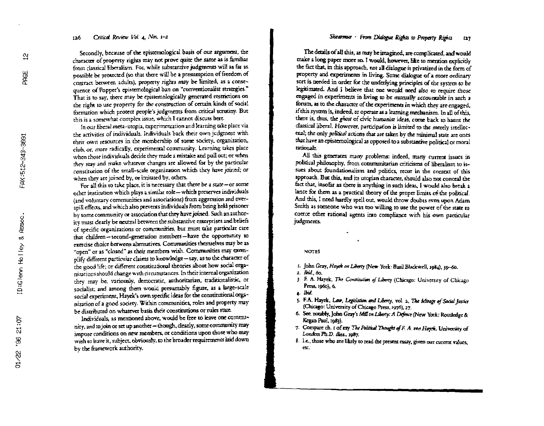#### Critical Review Vol. 4, Nos. 1-2 126

Secondly, because of the epistemological basis of our argument, the character of property rights may not prove quite the same as is familiar from classical liberalism. For, while substantive judgments will as far as possible be protected (so that there will be a presumption of freedom of contract between adults), property rights may be limited, as a consequence of Popper's epistemological ban on "conventionalist strategies." That is to say, there may be epistemologically generated restrictions on the right to use property for the construction of certain kinds of social formation which protect people's judgments from critical scrutiny. But this is a somewhat complex issue, which I cannot discuss here.

In our liberal meta-utopia, experimentation and learning take place via the activities of individuals. Individuals back their own judgment with their own resources in the membership of some society, organization, club, or, more radically, experimental community. Learning takes place when those individuals decide they made a mistake and pull out; or when they stay and make whatever changes are allowed for by the particular constitution of the small-scale organization which they have joined; or when they are joined by, or imitated by, others.

For all this to take place, it is necessary that there be a state-or some other institution which plays a similar role-which preserves individuals (and voluntary communities and associations) from aggression and overspill effects, and which also prevents individuals from being held prisoner by some community or association that they have joined. Such an authority must dearly be neutral between the substantive enterprises and beliefs of specific organizations or communities, but must take particular care that children-second-generation members-have the opportunity to exercise choice between alternatives. Communities themselves may be as "open" or as "closed" as their members wish. Communities may exemplify different particular claims to knowledge - say, as to the character of the good life; or different constitutional theories about how social organizations should change with circumstances. In their internal organization they may be, variously, democratic, authoritarian, traditionalistic, or socialist; and among them would presumably figure, as a large-scale social experiment, Hayek's own specific ideas for the constitutional organization of a good society. Within communities, roles and property may be distributed on whatever basis their constitutions or rules state.

Individuals, as mentioned above, would be free to leave one community, and to join or set up another - though, clearly, some community may impose conditions on new members, or conditions upon those who may wish to leave it, subject, obviously, to the broader requirements laid down by the framework authority.

The details of all this, as may be imagined, are complicated, and would make a long paper more so. I would, however, like to mention explicitly the fact that, in this approach, not all dialogue is privatized in the form of property and experiments in living. Some dialogue of a more ordinary sort is needed in order for the underlying principles of the system to be legitimated. And I believe that one would need also to require those engaged in experiments in living to be mutually accountable in such a forum, as to the character of the experiments in which they are engaged. if this system is, indeed, to operate as a learning mechanism. In all of this, there is, thus, the ghost of civic humanist ideas, come back to haunt the classical liberal. However, participation is limited to the merely intellectual; the only political actions that are taken by the minimal state are ones that have an episternological as opposed to a substantive political or moral rational.

All this generates many problems: indeed, many current issues in political philosophy, from communitarian criticisms of liberalism to issues about foundationalism and politics, recur in the context of this approach. But this, and its utopian character, should also not conceal the fact that, insofar as there is anything in such ideas, I would also break a lance for them as a practical theory of the proper limits of the political. And this, I need hardly spell out, would throw doubts even upon Adam Smith as someone who was too willing to use the power of the state to coerce other rational agents into compliance with his own particular judgments.

### **NOTES**

- 1. John Gray, Hayek on Liberty (New York: Basil Blackwell, 1984), 59-60.
- 2. Hold., 60.
- 3. F. A. Hayek, The Constitution of Liberty (Chicago: University of Chicago Press, 1960), 6.

- 5. F.A. Hayek, Law, Legislation and Liberty, vol. 2, The Mirage of Social fustice (Chicago: University of Chicago Press, 1976), 27.
- 6. See, notably, John Gray's Mill on Liberty: A Defence (New York: Routledge & Kegan Paul, 1983).
- 7. Compare ch. 1 of my The Political Thought of F. A. von Hayek, University of London Ph.D. diss., 1987.
- 8. I.e., those who are likely to read the present essay, given our current values. ck.

 $4.$  *Ib.d.*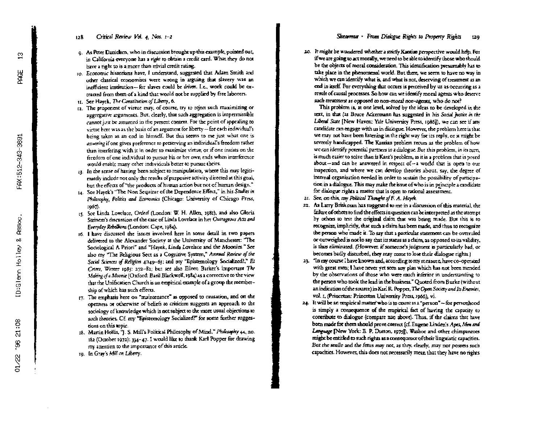- 9. As Peter Danielsen, who in discussion brought up this example, pointed out. in California everyone has a right to obtain a credit card. What they do not have a right to is a more than trivial credit rating.
- to. Economic historians have, I understand, suggested that Adam Smith and other classical economists were wrong in arguing that slavery was an inefficient institution-for slaves could be ariven. I.e., work could be exreacted from them of a kind that would not be supplied by free laborers.
- 11. See Hayek, The Constitution of Liberty, 6.
- 12. The proponent of virtue may, of course, try to reject such maximizing or aggregative arguments. But, clearly, that such aggregation is impermissible cannot just be assumed in the present context. For the point of appealing to virtue here was as the basis of an argumera for liberty - for each individual's being taken as an end in himself. But this seems to me just what one is assuming if one gives preference to preserving an individual's freedom rather than interfering with it in order to maximize virtue, or if one insists on the freedom of one individual to pursue his or her own ends when interference would enable many other individuals better to pursue theirs.
- 13. In the sense of having been subject to manipulation, where this may legitimately include not only the results of nurnosive activity directed at this goal. but the effects of "the products of human action but not of human design."
- 14. See Havek's "The Non Sequitur of the Dependence Effect," in his Studies in Philosophy, Politics and Economics (Chicago: University of Chicago Press, 1067).
- 15. See Linda Lovelace, Ordeal (London: W. H. Allen, 1981), and also Gloria Steinem's discussion of the case of Linda Lovelace in her Outrageous Acts and Everyday Rebellions (London: Cape, 1984).
- 16. I have discussed the issues involved here in some detail in two papers delivered to the Alexander Society at the University of Manchester: "The Sociological A Priori" and "Hayek, Linda Lovelace and the Moonies." See also my 'The Religious Sect as a Cognitive System," Annual Review of the Social Sciences of Religion 4:149-63; and my "Episternology Socialized?," Et Cetera, Winter 1085: 272-82; but see also Eileen Barker's important The Making of a Moonie (Oxford: Basil Blackwell, 1984) as a corrective to the view that the Unification Church is an empirical example of a group the membership of which has such effects.
- 17. The emphasis here on "maintenance" as opposed to causation, and on the openness or otherwise of beliefs to criticism suggests an approach to the sociology of knowledge which is not subject to the more usual objections to such theories. Cf. my "Epistemology Socialized?" for some further suggestions on this topic.
- 18. Martin Hollis, "J. S. Mill's Political Philosophy of Mind," Philosophy 44, no. 182 (October 1972): 314-47. I would like to thank Karl Popper for drawing my attention to the importance of this article.
- 19. In Gray's Mill on Liberty.

20. It might be wondered whether a strictly Kaptian perspective would help. For if we are going to act morally, we need to be able to identify those who should be the objects of moral consideration. This identification presumably has to take place in the phenomenal world. But there, we seem to have no way in which we can identify what is, and what is not, deserving of treatment as an end in itself. For everything that occurs is perceived by us as occurring as a result of causal processes. So how can we identify moral agents who deserve such treatment as opposed to non-moral non-agents, who do not?

This problem is, at one level, solved by the ideas to be developed in the text, in that (as Bruce Ackermann has suggested in his Social Justice in the Liberal State [New Haven; Yale University Press, 1986]), we can see if any candidate can engage with us in dialogue. However, the problem here is that we may not have been listening in the right way for its reply, or it might be severely handicapped. The Kantian problem recurs as the problem of how we can identify potential partners in a dialogue. But this problem, in its turn, is much easier to solve than is Kant's problem, as it is a problem that is posed about-and can be answered in respect of-a world that is open to our inspection, and where we can develop theories about, say, the degree of internal organization needed in order to sustain the possibility of participation in a dialogue. This may make the issue of who is in principle a candidate for dialogue rights a matter that is open to rational assessment.

- 21. See, on this, my Political Thought of F. A. Hoyek.
- 22. As Larry Briskman has suggested to me in a discussion of this material, the failure of others to find the effects in question can be interpreted as the attempt by others to test the original claim that was being made. But this is to recognize, implicitly, that such a claim has been made, and thus to recognize the person who made it. To say that a particular statement can be overruled or outweighed is not to say that its status as a claim, as opposed to its validity. is thus eliminated. (However, if someone's judgment is particularly bad, or becomes badly disturbed, they may come to lose their dialogue rights.)
- 23. "In my course I have known and, according to my measure, have co-operated with great men; I have never yet seen any plan which has not been mended by the observations of those who were much inferior in understanding to the person who took the lead in the business." Quoted from Burke (without an indication of the source) in Karl R. Popper, The Open Society and Its Enemies, vol. 1, (Princeton: Princeton University Press, 1966), vi.
- 24. It will be an empirical matter who is to count as a "person"-for personhood is simply a consequence of the empirical fact of having the capacity to contribute to dialogue (compare n20 above). Thus, if the claims that have been made for them should prove correct (cf. Eugene Linden's Apes, Men and Language [New York: E. P. Dutton, 1975]), Washoe and other chimpanzees might be entitled to such rights as a consequence of their linguistic capacities. But the senile and the fetus may not, as they, clearly, may not possess such capacities. However, this does not necessarily mean that they have no rights